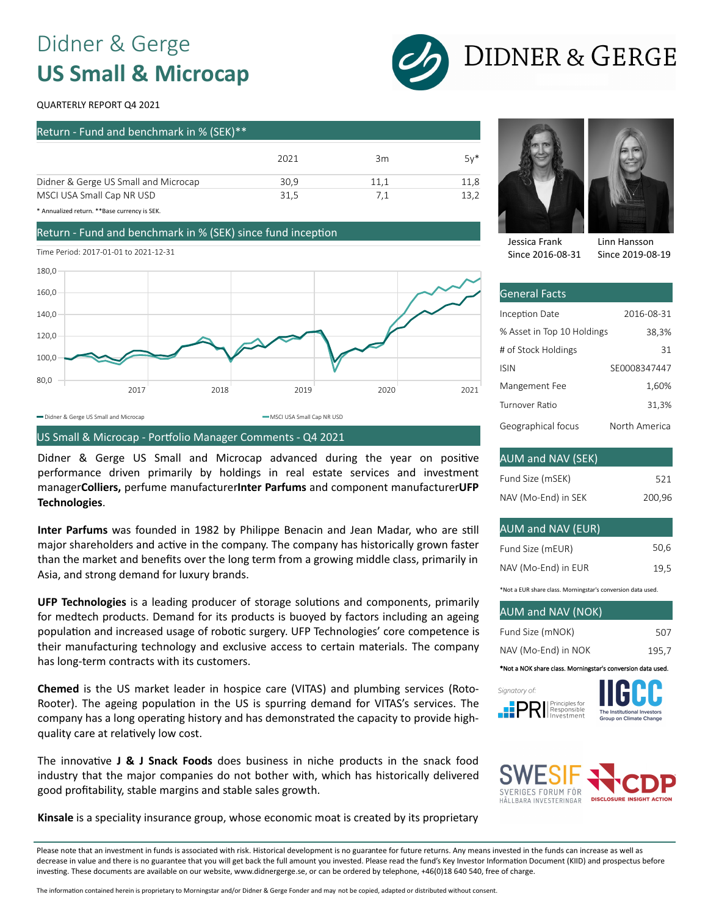### Didner & Gerge **US Small & Microcap**



# **DIDNER & GERGE**

#### QUARTERLY REPORT Q4 2021

| Return - Fund and benchmark in % (SEK)** |      |      |        |  |
|------------------------------------------|------|------|--------|--|
|                                          | 2021 | 3m   | $5v^*$ |  |
| Didner & Gerge US Small and Microcap     | 30.9 | 11.1 | 11.8   |  |
| MSCI USA Small Cap NR USD                | 31.5 | 7.1  | 13.2   |  |

\* Annualized return. \*\*Base currency is SEK.

#### Return - Fund and benchmark in % (SEK) since fund inception

Time Period: 2017-01-01 to 2021-12-31



#### US Small & Microcap - Portfolio Manager Comments - Q4 2021

Didner & Gerge US Small and Microcap advanced during the year on positive performance driven primarily by holdings in real estate services and investment manager**Colliers,** perfume manufacturer**Inter Parfums** and component manufacturer**UFP Technologies**.

**Inter Parfums** was founded in 1982 by Philippe Benacin and Jean Madar, who are s�ll major shareholders and active in the company. The company has historically grown faster than the market and benefits over the long term from a growing middle class, primarily in Asia, and strong demand for luxury brands.

**UFP Technologies** is a leading producer of storage solutions and components, primarily for medtech products. Demand for its products is buoyed by factors including an ageing population and increased usage of robotic surgery. UFP Technologies' core competence is their manufacturing technology and exclusive access to certain materials. The company has long-term contracts with its customers.

**Chemed** is the US market leader in hospice care (VITAS) and plumbing services (Roto-Rooter). The ageing population in the US is spurring demand for VITAS's services. The company has a long operating history and has demonstrated the capacity to provide highquality care at relatively low cost.

The innovative **J & J Snack Foods** does business in niche products in the snack food industry that the major companies do not bother with, which has historically delivered good profitability, stable margins and stable sales growth.



2016-08-31 38,3% 31

Linn Hansson Since 2019-08-19

SE0008347447

| Fund Size (mSEK)    | 521    |
|---------------------|--------|
| NAV (Mo-End) in SEK | 200,96 |

#### AUM and NAV (EUR)

General Facts Inception Date

Jessica Frank Since 2016-08-31

# of Stock Holdings

ISIN

% Asset in Top 10 Holdings

| Fund Size (mEUR)    | 50,6 |
|---------------------|------|
| NAV (Mo-End) in EUR | 19.5 |

\*Not a EUR share class. Morningstar's conversion data used.

| <b>AUM and NAV (NOK)</b> |       |
|--------------------------|-------|
| Fund Size (mNOK)         | 507   |
| NAV (Mo-End) in NOK      | 195.7 |

\*Not a NOK share class. Morningst







**Kinsale** is a speciality insurance group, whose economic moat is created by its proprietary

Please note that an investment in funds is associated with risk. Historical development is no guarantee for future returns. Any means invested in the funds can increase as well as decrease in value and there is no guarantee that you will get back the full amount you invested. Please read the fund's Key Investor Information Document (KIID) and prospectus before investing. These documents are available on our website, www.didnergerge.se, or can be ordered by telephone, +46(0)18 640 540, free of charge.

The information contained herein is proprietary to Morningstar and/or Didner & Gerge Fonder and may not be copied, adapted or distributed without consent.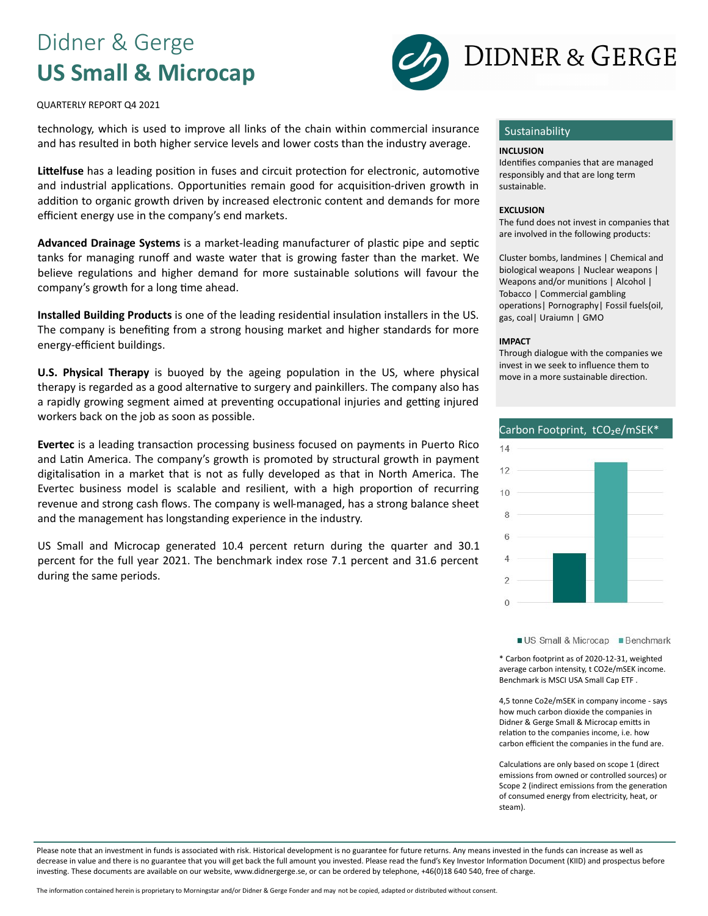### Didner & Gerge **US Small & Microcap**



QUARTERLY REPORT Q4 2021

technology, which is used to improve all links of the chain within commercial insurance and has resulted in both higher service levels and lower costs than the industry average.

Littelfuse has a leading position in fuses and circuit protection for electronic, automotive and industrial applications. Opportunities remain good for acquisition-driven growth in addition to organic growth driven by increased electronic content and demands for more efficient energy use in the company's end markets.

Advanced Drainage Systems is a market-leading manufacturer of plastic pipe and septic tanks for managing runoff and waste water that is growing faster than the market. We believe regulations and higher demand for more sustainable solutions will favour the company's growth for a long time ahead.

**Installed Building Products** is one of the leading residential insulation installers in the US. The company is benefiting from a strong housing market and higher standards for more energy-efficient buildings.

**U.S. Physical Therapy** is buoyed by the ageing population in the US, where physical therapy is regarded as a good alternative to surgery and painkillers. The company also has a rapidly growing segment aimed at preventing occupational injuries and getting injured workers back on the job as soon as possible.

Evertec is a leading transaction processing business focused on payments in Puerto Rico and Latin America. The company's growth is promoted by structural growth in payment digitalisation in a market that is not as fully developed as that in North America. The Evertec business model is scalable and resilient, with a high proportion of recurring revenue and strong cash flows. The company is well-managed, has a strong balance sheet and the management has longstanding experience in the industry.

US Small and Microcap generated 10.4 percent return during the quarter and 30.1 percent for the full year 2021. The benchmark index rose 7.1 percent and 31.6 percent during the same periods.

#### Sustainability

#### **INCLUSION**

Identifies companies that are managed responsibly and that are long term sustainable.

#### **EXCLUSION**

The fund does not invest in companies that are involved in the following products:

Cluster bombs, landmines | Chemical and biological weapons | Nuclear weapons | Weapons and/or munitions | Alcohol | Tobacco | Commercial gambling operations | Pornography | Fossil fuels(oil, gas, coal| Uraiumn | GMO

#### **IMPACT**

Through dialogue with the companies we invest in we seek to influence them to move in a more sustainable direction.



US Small & Microcap Benchmark

\* Carbon footprint as of 2020-12-31, weighted average carbon intensity, t CO2e/mSEK income. Benchmark is MSCI USA Small Cap ETF .

4,5 tonne Co2e/mSEK in company income - says how much carbon dioxide the companies in Didner & Gerge Small & Microcap emitts in relation to the companies income, i.e. how carbon efficient the companies in the fund are.

Calculations are only based on scope 1 (direct emissions from owned or controlled sources) or Scope 2 (indirect emissions from the generation of consumed energy from electricity, heat, or steam).

Please note that an investment in funds is associated with risk. Historical development is no guarantee for future returns. Any means invested in the funds can increase as well as decrease in value and there is no guarantee that you will get back the full amount you invested. Please read the fund's Key Investor Information Document (KIID) and prospectus before investing. These documents are available on our website, www.didnergerge.se, or can be ordered by telephone, +46(0)18 640 540, free of charge.